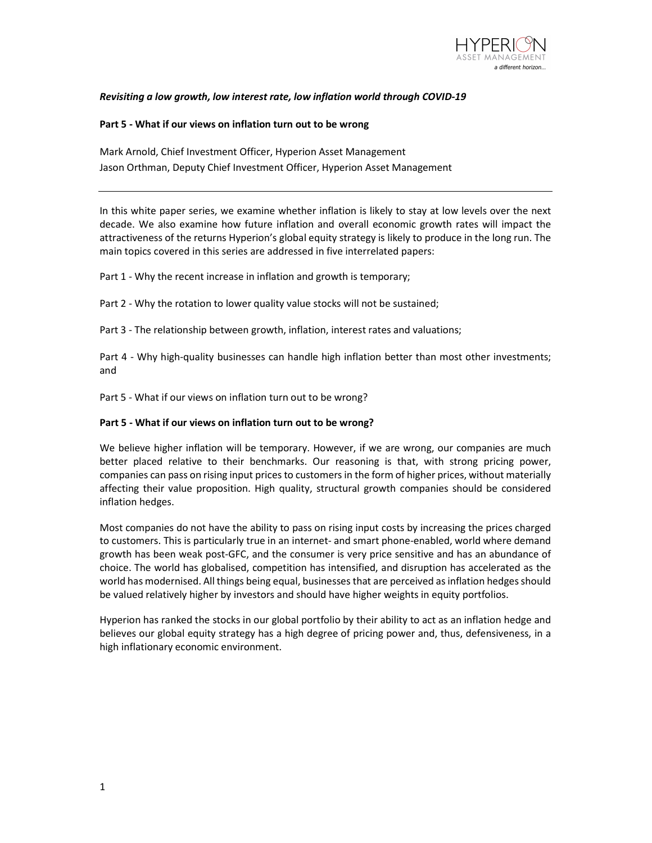

## Revisiting a low growth, low interest rate, low inflation world through COVID-19

## Part 5 - What if our views on inflation turn out to be wrong

Mark Arnold, Chief Investment Officer, Hyperion Asset Management Jason Orthman, Deputy Chief Investment Officer, Hyperion Asset Management

In this white paper series, we examine whether inflation is likely to stay at low levels over the next decade. We also examine how future inflation and overall economic growth rates will impact the attractiveness of the returns Hyperion's global equity strategy is likely to produce in the long run. The main topics covered in this series are addressed in five interrelated papers:

Part 1 - Why the recent increase in inflation and growth is temporary;

Part 2 - Why the rotation to lower quality value stocks will not be sustained;

Part 3 - The relationship between growth, inflation, interest rates and valuations;

Part 4 - Why high-quality businesses can handle high inflation better than most other investments; and

Part 5 - What if our views on inflation turn out to be wrong?

## Part 5 - What if our views on inflation turn out to be wrong?

We believe higher inflation will be temporary. However, if we are wrong, our companies are much better placed relative to their benchmarks. Our reasoning is that, with strong pricing power, companies can pass on rising input prices to customers in the form of higher prices, without materially affecting their value proposition. High quality, structural growth companies should be considered inflation hedges.

Most companies do not have the ability to pass on rising input costs by increasing the prices charged to customers. This is particularly true in an internet- and smart phone-enabled, world where demand growth has been weak post-GFC, and the consumer is very price sensitive and has an abundance of choice. The world has globalised, competition has intensified, and disruption has accelerated as the world has modernised. All things being equal, businesses that are perceived as inflation hedges should be valued relatively higher by investors and should have higher weights in equity portfolios.

Hyperion has ranked the stocks in our global portfolio by their ability to act as an inflation hedge and believes our global equity strategy has a high degree of pricing power and, thus, defensiveness, in a high inflationary economic environment.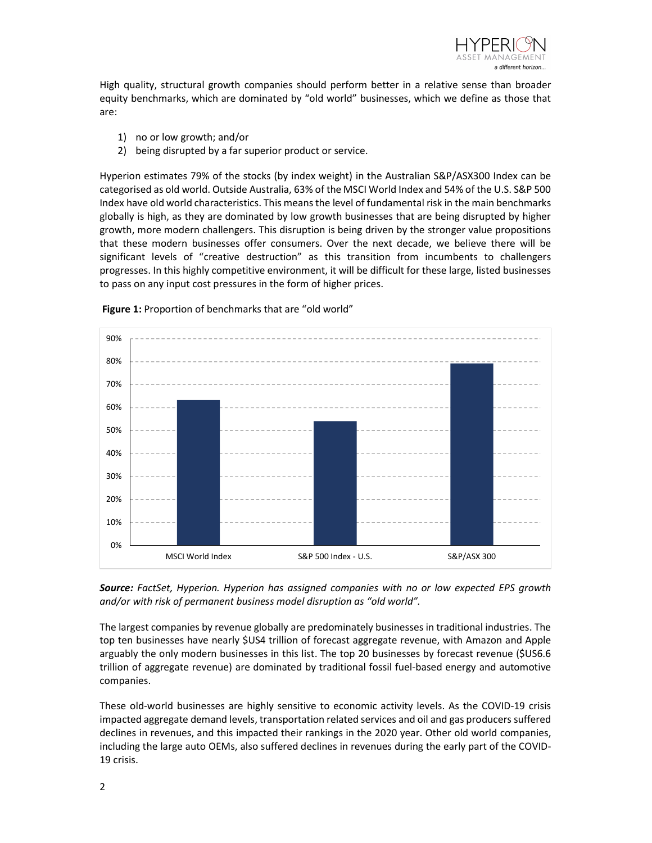

High quality, structural growth companies should perform better in a relative sense than broader equity benchmarks, which are dominated by "old world" businesses, which we define as those that are:

- 1) no or low growth; and/or
- 2) being disrupted by a far superior product or service.

Hyperion estimates 79% of the stocks (by index weight) in the Australian S&P/ASX300 Index can be categorised as old world. Outside Australia, 63% of the MSCI World Index and 54% of the U.S. S&P 500 Index have old world characteristics. This means the level of fundamental risk in the main benchmarks globally is high, as they are dominated by low growth businesses that are being disrupted by higher growth, more modern challengers. This disruption is being driven by the stronger value propositions that these modern businesses offer consumers. Over the next decade, we believe there will be significant levels of "creative destruction" as this transition from incumbents to challengers progresses. In this highly competitive environment, it will be difficult for these large, listed businesses to pass on any input cost pressures in the form of higher prices.



Figure 1: Proportion of benchmarks that are "old world"

Source: FactSet, Hyperion. Hyperion has assigned companies with no or low expected EPS growth and/or with risk of permanent business model disruption as "old world".

The largest companies by revenue globally are predominately businesses in traditional industries. The top ten businesses have nearly \$US4 trillion of forecast aggregate revenue, with Amazon and Apple arguably the only modern businesses in this list. The top 20 businesses by forecast revenue (\$US6.6 trillion of aggregate revenue) are dominated by traditional fossil fuel-based energy and automotive companies.

These old-world businesses are highly sensitive to economic activity levels. As the COVID-19 crisis impacted aggregate demand levels, transportation related services and oil and gas producers suffered declines in revenues, and this impacted their rankings in the 2020 year. Other old world companies, including the large auto OEMs, also suffered declines in revenues during the early part of the COVID-19 crisis.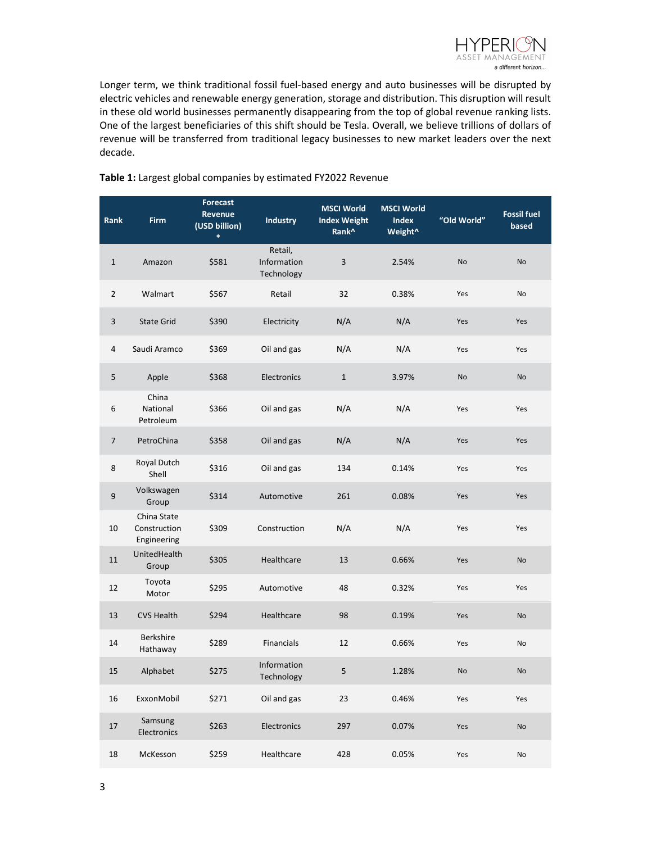

Longer term, we think traditional fossil fuel-based energy and auto businesses will be disrupted by electric vehicles and renewable energy generation, storage and distribution. This disruption will result in these old world businesses permanently disappearing from the top of global revenue ranking lists. One of the largest beneficiaries of this shift should be Tesla. Overall, we believe trillions of dollars of revenue will be transferred from traditional legacy businesses to new market leaders over the next decade.

| Rank             | Firm                                       | <b>Forecast</b><br>Revenue<br>(USD billion)<br>$\ast$ | Industry                             | <b>MSCI World</b><br><b>Index Weight</b><br>Rank <sup>^</sup> | <b>MSCI World</b><br><b>Index</b><br>Weight <sup>^</sup> | "Old World" | <b>Fossil fuel</b><br>based |
|------------------|--------------------------------------------|-------------------------------------------------------|--------------------------------------|---------------------------------------------------------------|----------------------------------------------------------|-------------|-----------------------------|
| $\mathbf 1$      | Amazon                                     | \$581                                                 | Retail,<br>Information<br>Technology | $\overline{3}$                                                | 2.54%                                                    | <b>No</b>   | <b>No</b>                   |
| $\overline{2}$   | Walmart                                    | \$567                                                 | Retail                               | 32                                                            | 0.38%                                                    | Yes         | No                          |
| $\mathsf{3}$     | <b>State Grid</b>                          | \$390                                                 | Electricity                          | N/A                                                           | N/A                                                      | Yes         | Yes                         |
| 4                | Saudi Aramco                               | \$369                                                 | Oil and gas                          | N/A                                                           | N/A                                                      | Yes         | Yes                         |
| $\mathsf S$      | Apple                                      | \$368                                                 | Electronics                          | $\mathbf 1$                                                   | 3.97%                                                    | No          | No                          |
| 6                | China<br>National<br>Petroleum             | \$366                                                 | Oil and gas                          | N/A                                                           | N/A                                                      | Yes         | Yes                         |
| $\overline{7}$   | PetroChina                                 | \$358                                                 | Oil and gas                          | N/A                                                           | N/A                                                      | Yes         | Yes                         |
| $\bf 8$          | Royal Dutch<br>Shell                       | \$316                                                 | Oil and gas                          | 134                                                           | 0.14%                                                    | Yes         | Yes                         |
| $\boldsymbol{9}$ | Volkswagen<br>Group                        | \$314                                                 | Automotive                           | 261                                                           | 0.08%                                                    | Yes         | Yes                         |
| 10               | China State<br>Construction<br>Engineering | \$309                                                 | Construction                         | N/A                                                           | N/A                                                      | Yes         | Yes                         |
| 11               | UnitedHealth<br>Group                      | \$305                                                 | Healthcare                           | 13                                                            | 0.66%                                                    | Yes         | <b>No</b>                   |
| 12               | Toyota<br>Motor                            | \$295                                                 | Automotive                           | 48                                                            | 0.32%                                                    | Yes         | Yes                         |
| 13               | <b>CVS Health</b>                          | \$294                                                 | Healthcare                           | 98                                                            | 0.19%                                                    | Yes         | No                          |
| 14               | <b>Berkshire</b><br>Hathaway               | \$289                                                 | Financials                           | 12                                                            | 0.66%                                                    | Yes         | No                          |
| 15               | Alphabet                                   | \$275                                                 | Information<br>Technology            | 5                                                             | 1.28%                                                    | No          | No                          |
| 16               | ExxonMobil                                 | \$271                                                 | Oil and gas                          | 23                                                            | 0.46%                                                    | Yes         | Yes                         |
| $17\,$           | Samsung<br>Electronics                     | \$263                                                 | Electronics                          | 297                                                           | 0.07%                                                    | Yes         | No                          |
| 18               | McKesson                                   | \$259                                                 | Healthcare                           | 428                                                           | 0.05%                                                    | Yes         | No                          |

## Table 1: Largest global companies by estimated FY2022 Revenue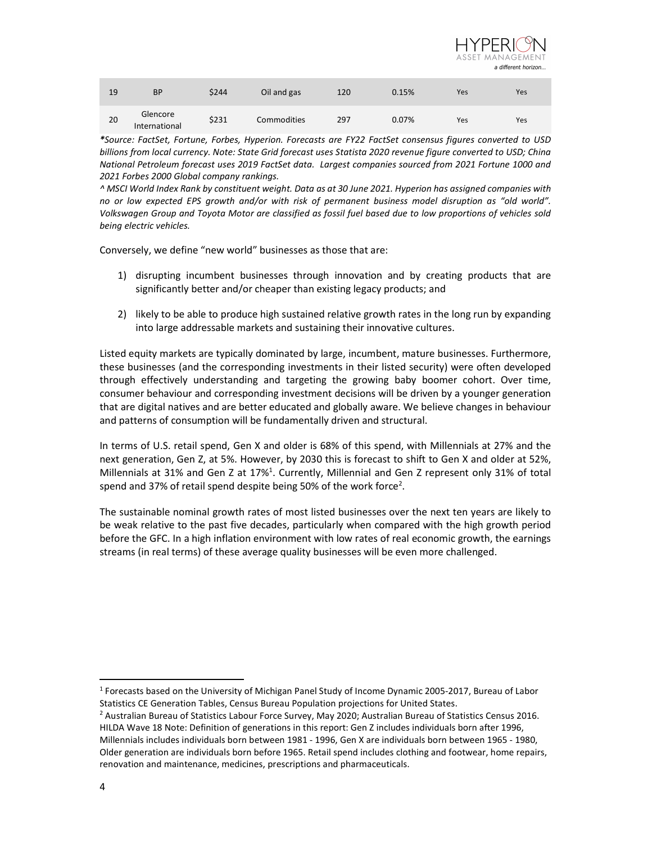

| 19 | BP                        | \$244 | Oil and gas        | 120 | 0.15% | Yes | Yes |
|----|---------------------------|-------|--------------------|-----|-------|-----|-----|
| 20 | Glencore<br>International | \$231 | <b>Commodities</b> | 297 | 0.07% | Yes | Yes |

\*Source: FactSet, Fortune, Forbes, Hyperion. Forecasts are FY22 FactSet consensus figures converted to USD billions from local currency. Note: State Grid forecast uses Statista 2020 revenue figure converted to USD; China National Petroleum forecast uses 2019 FactSet data. Largest companies sourced from 2021 Fortune 1000 and 2021 Forbes 2000 Global company rankings.

^ MSCI World Index Rank by constituent weight. Data as at 30 June 2021. Hyperion has assigned companies with no or low expected EPS growth and/or with risk of permanent business model disruption as "old world". Volkswagen Group and Toyota Motor are classified as fossil fuel based due to low proportions of vehicles sold being electric vehicles.

Conversely, we define "new world" businesses as those that are:

- 1) disrupting incumbent businesses through innovation and by creating products that are significantly better and/or cheaper than existing legacy products; and
- 2) likely to be able to produce high sustained relative growth rates in the long run by expanding into large addressable markets and sustaining their innovative cultures.

Listed equity markets are typically dominated by large, incumbent, mature businesses. Furthermore, these businesses (and the corresponding investments in their listed security) were often developed through effectively understanding and targeting the growing baby boomer cohort. Over time, consumer behaviour and corresponding investment decisions will be driven by a younger generation that are digital natives and are better educated and globally aware. We believe changes in behaviour and patterns of consumption will be fundamentally driven and structural.

In terms of U.S. retail spend, Gen X and older is 68% of this spend, with Millennials at 27% and the next generation, Gen Z, at 5%. However, by 2030 this is forecast to shift to Gen X and older at 52%, Millennials at 31% and Gen Z at 17%<sup>1</sup>. Currently, Millennial and Gen Z represent only 31% of total spend and 37% of retail spend despite being 50% of the work force<sup>2</sup>.

The sustainable nominal growth rates of most listed businesses over the next ten years are likely to be weak relative to the past five decades, particularly when compared with the high growth period before the GFC. In a high inflation environment with low rates of real economic growth, the earnings streams (in real terms) of these average quality businesses will be even more challenged.

<sup>&</sup>lt;sup>1</sup> Forecasts based on the University of Michigan Panel Study of Income Dynamic 2005-2017, Bureau of Labor Statistics CE Generation Tables, Census Bureau Population projections for United States.

<sup>&</sup>lt;sup>2</sup> Australian Bureau of Statistics Labour Force Survey, May 2020; Australian Bureau of Statistics Census 2016. HILDA Wave 18 Note: Definition of generations in this report: Gen Z includes individuals born after 1996, Millennials includes individuals born between 1981 - 1996, Gen X are individuals born between 1965 - 1980, Older generation are individuals born before 1965. Retail spend includes clothing and footwear, home repairs, renovation and maintenance, medicines, prescriptions and pharmaceuticals.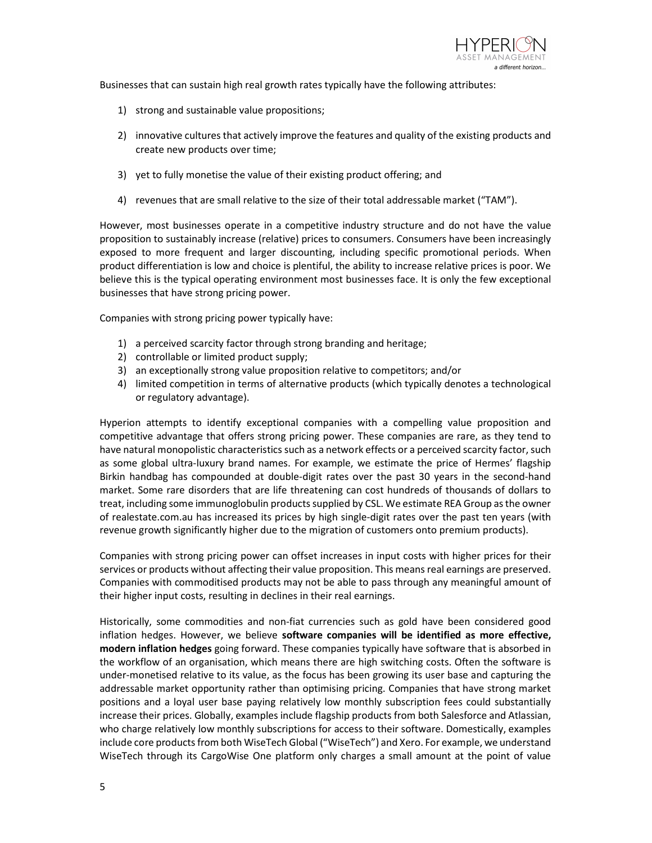

Businesses that can sustain high real growth rates typically have the following attributes:

- 1) strong and sustainable value propositions;
- 2) innovative cultures that actively improve the features and quality of the existing products and create new products over time;
- 3) yet to fully monetise the value of their existing product offering; and
- 4) revenues that are small relative to the size of their total addressable market ("TAM").

However, most businesses operate in a competitive industry structure and do not have the value proposition to sustainably increase (relative) prices to consumers. Consumers have been increasingly exposed to more frequent and larger discounting, including specific promotional periods. When product differentiation is low and choice is plentiful, the ability to increase relative prices is poor. We believe this is the typical operating environment most businesses face. It is only the few exceptional businesses that have strong pricing power.

Companies with strong pricing power typically have:

- 1) a perceived scarcity factor through strong branding and heritage;
- 2) controllable or limited product supply;
- 3) an exceptionally strong value proposition relative to competitors; and/or
- 4) limited competition in terms of alternative products (which typically denotes a technological or regulatory advantage).

Hyperion attempts to identify exceptional companies with a compelling value proposition and competitive advantage that offers strong pricing power. These companies are rare, as they tend to have natural monopolistic characteristics such as a network effects or a perceived scarcity factor, such as some global ultra-luxury brand names. For example, we estimate the price of Hermes' flagship Birkin handbag has compounded at double-digit rates over the past 30 years in the second-hand market. Some rare disorders that are life threatening can cost hundreds of thousands of dollars to treat, including some immunoglobulin products supplied by CSL. We estimate REA Group as the owner of realestate.com.au has increased its prices by high single-digit rates over the past ten years (with revenue growth significantly higher due to the migration of customers onto premium products).

Companies with strong pricing power can offset increases in input costs with higher prices for their services or products without affecting their value proposition. This means real earnings are preserved. Companies with commoditised products may not be able to pass through any meaningful amount of their higher input costs, resulting in declines in their real earnings.

Historically, some commodities and non-fiat currencies such as gold have been considered good inflation hedges. However, we believe software companies will be identified as more effective, modern inflation hedges going forward. These companies typically have software that is absorbed in the workflow of an organisation, which means there are high switching costs. Often the software is under-monetised relative to its value, as the focus has been growing its user base and capturing the addressable market opportunity rather than optimising pricing. Companies that have strong market positions and a loyal user base paying relatively low monthly subscription fees could substantially increase their prices. Globally, examples include flagship products from both Salesforce and Atlassian, who charge relatively low monthly subscriptions for access to their software. Domestically, examples include core products from both WiseTech Global ("WiseTech") and Xero. For example, we understand WiseTech through its CargoWise One platform only charges a small amount at the point of value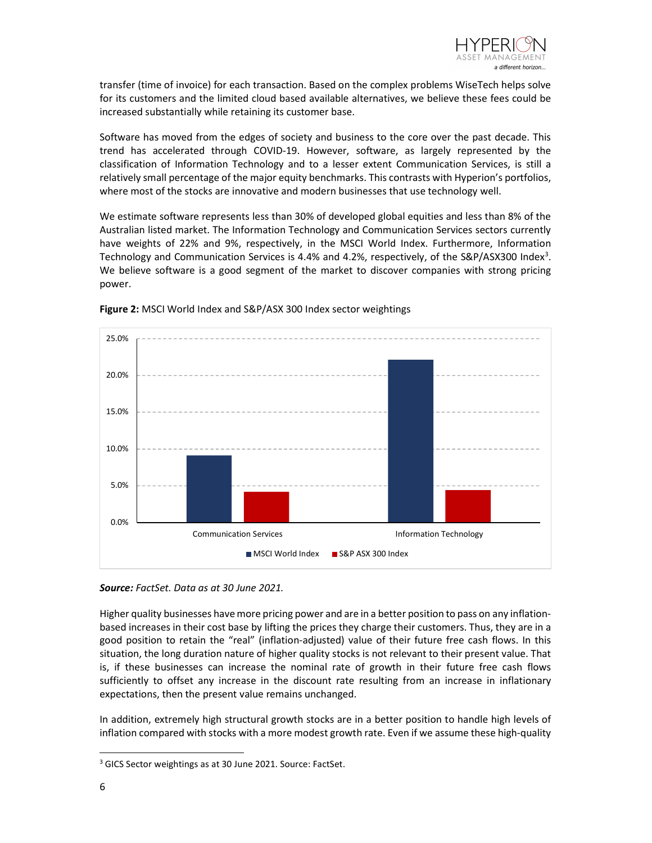

transfer (time of invoice) for each transaction. Based on the complex problems WiseTech helps solve for its customers and the limited cloud based available alternatives, we believe these fees could be increased substantially while retaining its customer base.

Software has moved from the edges of society and business to the core over the past decade. This trend has accelerated through COVID-19. However, software, as largely represented by the classification of Information Technology and to a lesser extent Communication Services, is still a relatively small percentage of the major equity benchmarks. This contrasts with Hyperion's portfolios, where most of the stocks are innovative and modern businesses that use technology well.

We estimate software represents less than 30% of developed global equities and less than 8% of the Australian listed market. The Information Technology and Communication Services sectors currently have weights of 22% and 9%, respectively, in the MSCI World Index. Furthermore, Information Technology and Communication Services is 4.4% and 4.2%, respectively, of the S&P/ASX300 Index<sup>3</sup>. We believe software is a good segment of the market to discover companies with strong pricing power.



Figure 2: MSCI World Index and S&P/ASX 300 Index sector weightings

Source: FactSet. Data as at 30 June 2021.

Higher quality businesses have more pricing power and are in a better position to pass on any inflationbased increases in their cost base by lifting the prices they charge their customers. Thus, they are in a good position to retain the "real" (inflation-adjusted) value of their future free cash flows. In this situation, the long duration nature of higher quality stocks is not relevant to their present value. That is, if these businesses can increase the nominal rate of growth in their future free cash flows sufficiently to offset any increase in the discount rate resulting from an increase in inflationary expectations, then the present value remains unchanged.

In addition, extremely high structural growth stocks are in a better position to handle high levels of inflation compared with stocks with a more modest growth rate. Even if we assume these high-quality

<sup>&</sup>lt;sup>3</sup> GICS Sector weightings as at 30 June 2021. Source: FactSet.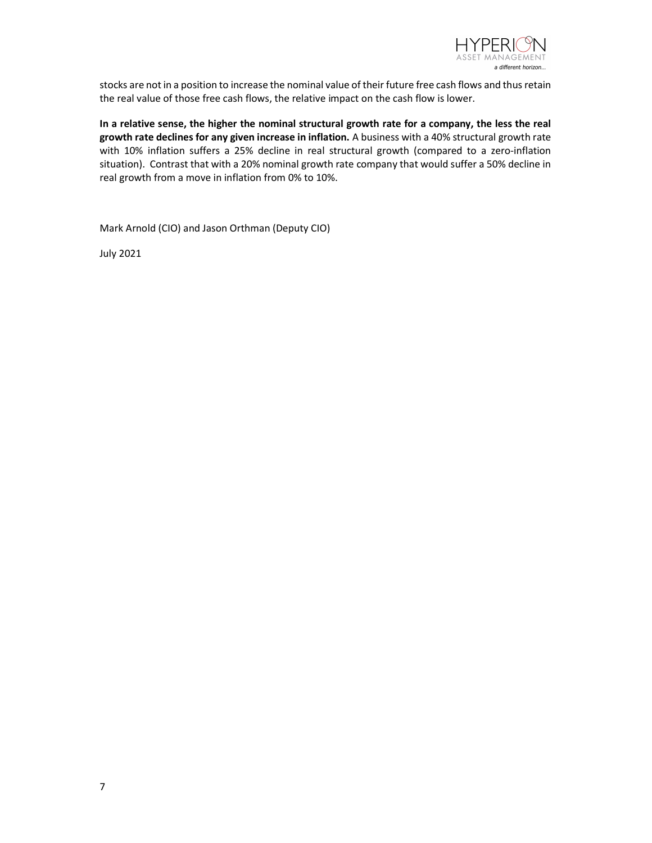

stocks are not in a position to increase the nominal value of their future free cash flows and thus retain the real value of those free cash flows, the relative impact on the cash flow is lower.

In a relative sense, the higher the nominal structural growth rate for a company, the less the real growth rate declines for any given increase in inflation. A business with a 40% structural growth rate with 10% inflation suffers a 25% decline in real structural growth (compared to a zero-inflation situation). Contrast that with a 20% nominal growth rate company that would suffer a 50% decline in real growth from a move in inflation from 0% to 10%.

Mark Arnold (CIO) and Jason Orthman (Deputy CIO)

July 2021